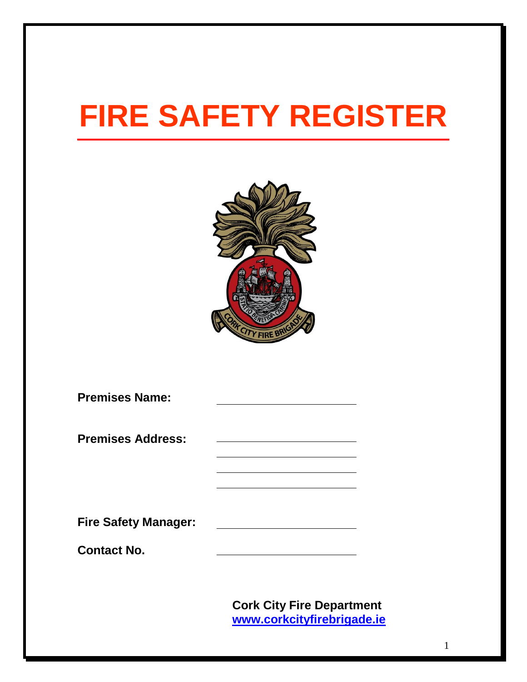# **FIRE SAFETY REGISTER**



| <b>Premises Name:</b>                             |  |
|---------------------------------------------------|--|
| <b>Premises Address:</b>                          |  |
| <b>Fire Safety Manager:</b><br><b>Contact No.</b> |  |

**Cork City Fire Department [www.corkcityfirebrigade.ie](http://www.corkcityfirebrigade.ie/)**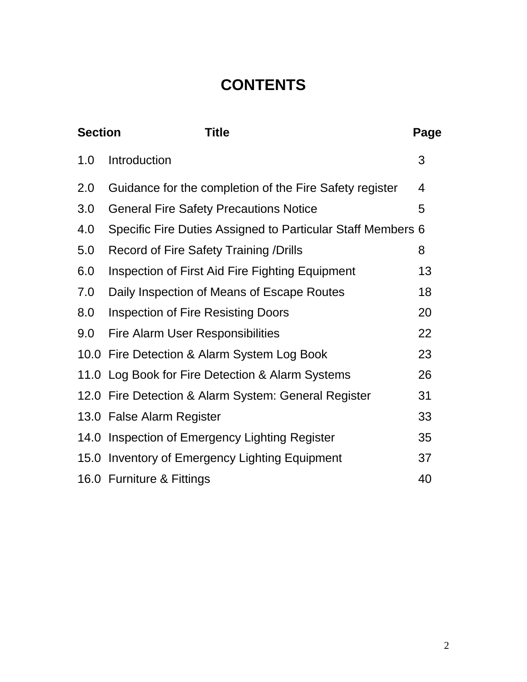# **CONTENTS**

| <b>Section</b> | <b>Title</b>                                                | Page           |
|----------------|-------------------------------------------------------------|----------------|
| 1.0            | Introduction                                                | 3              |
| 2.0            | Guidance for the completion of the Fire Safety register     | $\overline{4}$ |
| 3.0            | <b>General Fire Safety Precautions Notice</b>               | 5              |
| 4.0            | Specific Fire Duties Assigned to Particular Staff Members 6 |                |
| 5.0            | <b>Record of Fire Safety Training /Drills</b>               | 8              |
| 6.0            | Inspection of First Aid Fire Fighting Equipment             | 13             |
| 7.0            | Daily Inspection of Means of Escape Routes                  | 18             |
| 8.0            | <b>Inspection of Fire Resisting Doors</b>                   | 20             |
| 9.0            | <b>Fire Alarm User Responsibilities</b>                     | 22             |
|                | 10.0 Fire Detection & Alarm System Log Book                 | 23             |
|                | 11.0 Log Book for Fire Detection & Alarm Systems            | 26             |
|                | 12.0 Fire Detection & Alarm System: General Register        | 31             |
|                | 13.0 False Alarm Register                                   | 33             |
|                | 14.0 Inspection of Emergency Lighting Register              | 35             |
|                | 15.0 Inventory of Emergency Lighting Equipment              | 37             |
|                | 16.0 Furniture & Fittings                                   | 40             |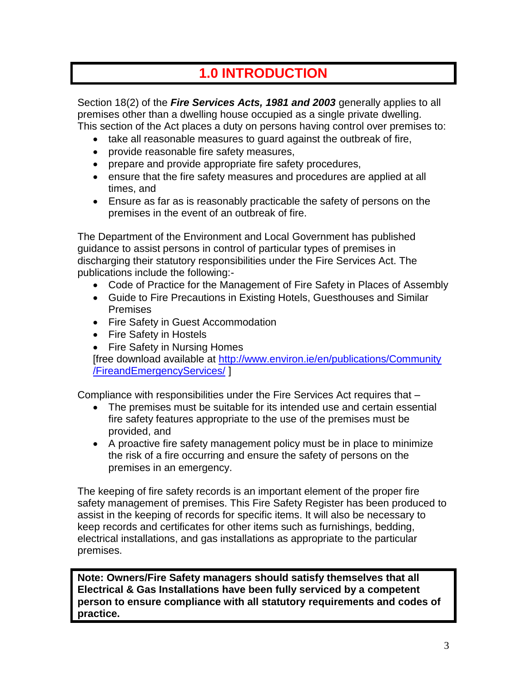# **1.0 INTRODUCTION**

Section 18(2) of the *Fire Services Acts, 1981 and 2003* generally applies to all premises other than a dwelling house occupied as a single private dwelling. This section of the Act places a duty on persons having control over premises to:

- take all reasonable measures to guard against the outbreak of fire,
- provide reasonable fire safety measures,
- prepare and provide appropriate fire safety procedures,
- ensure that the fire safety measures and procedures are applied at all times, and
- Ensure as far as is reasonably practicable the safety of persons on the premises in the event of an outbreak of fire.

The Department of the Environment and Local Government has published guidance to assist persons in control of particular types of premises in discharging their statutory responsibilities under the Fire Services Act. The publications include the following:-

- Code of Practice for the Management of Fire Safety in Places of Assembly
- Guide to Fire Precautions in Existing Hotels, Guesthouses and Similar Premises
- Fire Safety in Guest Accommodation
- Fire Safety in Hostels
- Fire Safety in Nursing Homes

[free download available at http://www.environ.ie/en/publications/Community [/FireandEmergencyServices/](http://www.environ.ie/en/publications/Community%20/FireandEmergencyServices/) ]

Compliance with responsibilities under the Fire Services Act requires that –

- The premises must be suitable for its intended use and certain essential fire safety features appropriate to the use of the premises must be provided, and
- A proactive fire safety management policy must be in place to minimize the risk of a fire occurring and ensure the safety of persons on the premises in an emergency.

The keeping of fire safety records is an important element of the proper fire safety management of premises. This Fire Safety Register has been produced to assist in the keeping of records for specific items. It will also be necessary to keep records and certificates for other items such as furnishings, bedding, electrical installations, and gas installations as appropriate to the particular premises.

**Note: Owners/Fire Safety managers should satisfy themselves that all Electrical & Gas Installations have been fully serviced by a competent person to ensure compliance with all statutory requirements and codes of practice.**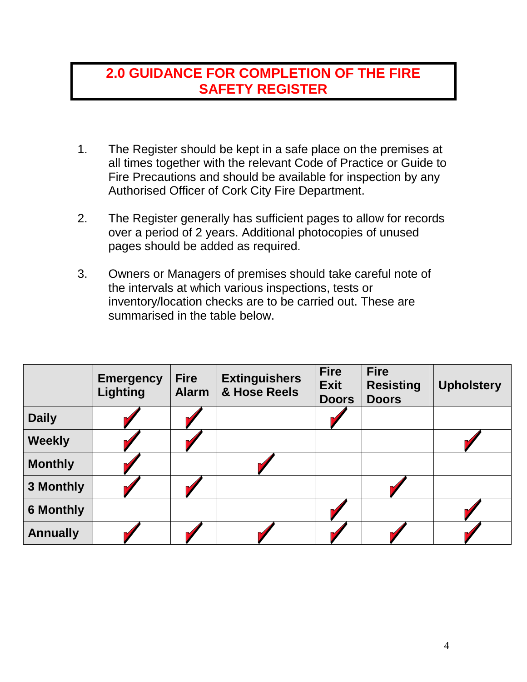### **2.0 GUIDANCE FOR COMPLETION OF THE FIRE SAFETY REGISTER**

- 1. The Register should be kept in a safe place on the premises at all times together with the relevant Code of Practice or Guide to Fire Precautions and should be available for inspection by any Authorised Officer of Cork City Fire Department.
- 2. The Register generally has sufficient pages to allow for records over a period of 2 years. Additional photocopies of unused pages should be added as required.
- 3. Owners or Managers of premises should take careful note of the intervals at which various inspections, tests or inventory/location checks are to be carried out. These are summarised in the table below.

|                  | <b>Emergency</b><br><b>Lighting</b> | <b>Fire</b><br><b>Alarm</b> | <b>Extinguishers</b><br>& Hose Reels | <b>Fire</b><br><b>Exit</b><br><b>Doors</b> | <b>Fire</b><br><b>Resisting</b><br><b>Doors</b> | <b>Upholstery</b> |
|------------------|-------------------------------------|-----------------------------|--------------------------------------|--------------------------------------------|-------------------------------------------------|-------------------|
| <b>Daily</b>     |                                     |                             |                                      |                                            |                                                 |                   |
| <b>Weekly</b>    |                                     |                             |                                      |                                            |                                                 |                   |
| <b>Monthly</b>   |                                     |                             |                                      |                                            |                                                 |                   |
| 3 Monthly        |                                     |                             |                                      |                                            |                                                 |                   |
| <b>6 Monthly</b> |                                     |                             |                                      |                                            |                                                 |                   |
| <b>Annually</b>  |                                     |                             |                                      |                                            |                                                 |                   |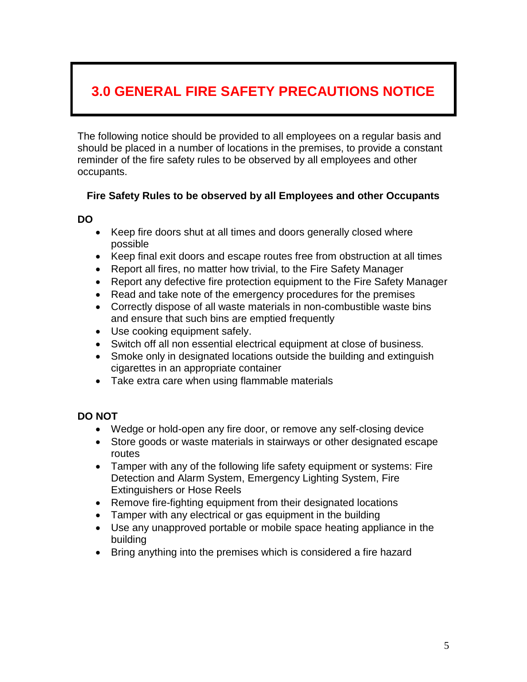# **3.0 GENERAL FIRE SAFETY PRECAUTIONS NOTICE**

The following notice should be provided to all employees on a regular basis and should be placed in a number of locations in the premises, to provide a constant reminder of the fire safety rules to be observed by all employees and other occupants.

#### **Fire Safety Rules to be observed by all Employees and other Occupants**

#### **DO**

- Keep fire doors shut at all times and doors generally closed where possible
- Keep final exit doors and escape routes free from obstruction at all times
- Report all fires, no matter how trivial, to the Fire Safety Manager
- Report any defective fire protection equipment to the Fire Safety Manager
- Read and take note of the emergency procedures for the premises
- Correctly dispose of all waste materials in non-combustible waste bins and ensure that such bins are emptied frequently
- Use cooking equipment safely.
- Switch off all non essential electrical equipment at close of business.
- Smoke only in designated locations outside the building and extinguish cigarettes in an appropriate container
- Take extra care when using flammable materials

#### **DO NOT**

- Wedge or hold-open any fire door, or remove any self-closing device
- Store goods or waste materials in stairways or other designated escape routes
- Tamper with any of the following life safety equipment or systems: Fire Detection and Alarm System, Emergency Lighting System, Fire Extinguishers or Hose Reels
- Remove fire-fighting equipment from their designated locations
- Tamper with any electrical or gas equipment in the building
- Use any unapproved portable or mobile space heating appliance in the building
- Bring anything into the premises which is considered a fire hazard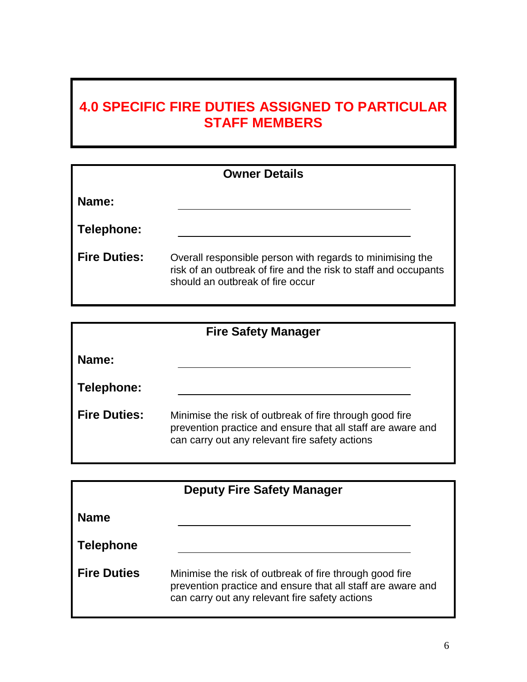# **4.0 SPECIFIC FIRE DUTIES ASSIGNED TO PARTICULAR STAFF MEMBERS**

| <b>Owner Details</b> |                                                                                                                                                                  |  |  |
|----------------------|------------------------------------------------------------------------------------------------------------------------------------------------------------------|--|--|
| Name:                |                                                                                                                                                                  |  |  |
| Telephone:           |                                                                                                                                                                  |  |  |
| <b>Fire Duties:</b>  | Overall responsible person with regards to minimising the<br>risk of an outbreak of fire and the risk to staff and occupants<br>should an outbreak of fire occur |  |  |

| <b>Fire Safety Manager</b> |                                                                                                                                                                          |  |
|----------------------------|--------------------------------------------------------------------------------------------------------------------------------------------------------------------------|--|
| <b>Name:</b>               |                                                                                                                                                                          |  |
| Telephone:                 |                                                                                                                                                                          |  |
| <b>Fire Duties:</b>        | Minimise the risk of outbreak of fire through good fire<br>prevention practice and ensure that all staff are aware and<br>can carry out any relevant fire safety actions |  |

| <b>Deputy Fire Safety Manager</b> |                                                                                                                                                                          |  |
|-----------------------------------|--------------------------------------------------------------------------------------------------------------------------------------------------------------------------|--|
| <b>Name</b>                       |                                                                                                                                                                          |  |
| Telephone                         |                                                                                                                                                                          |  |
| <b>Fire Duties</b>                | Minimise the risk of outbreak of fire through good fire<br>prevention practice and ensure that all staff are aware and<br>can carry out any relevant fire safety actions |  |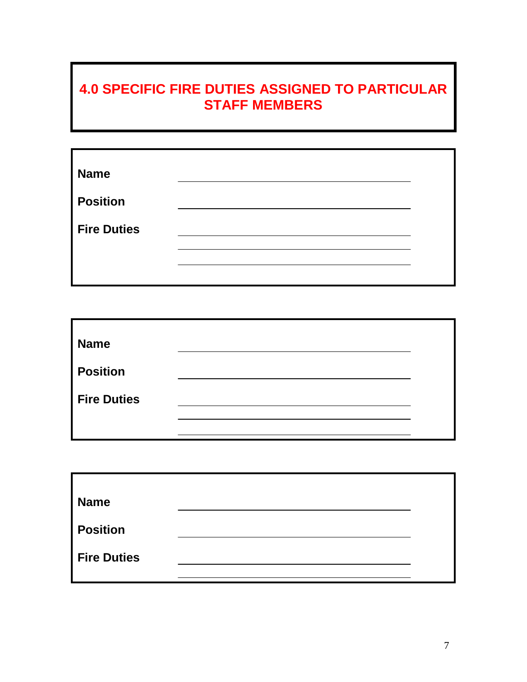# **4.0 SPECIFIC FIRE DUTIES ASSIGNED TO PARTICULAR STAFF MEMBERS**

| <b>Name</b>        |  |
|--------------------|--|
| <b>Position</b>    |  |
| <b>Fire Duties</b> |  |
|                    |  |
|                    |  |

| <b>Name</b>        |  |
|--------------------|--|
| <b>Position</b>    |  |
| <b>Fire Duties</b> |  |
|                    |  |
|                    |  |

| <b>Name</b>        |  |
|--------------------|--|
|                    |  |
| <b>Position</b>    |  |
| <b>Fire Duties</b> |  |
|                    |  |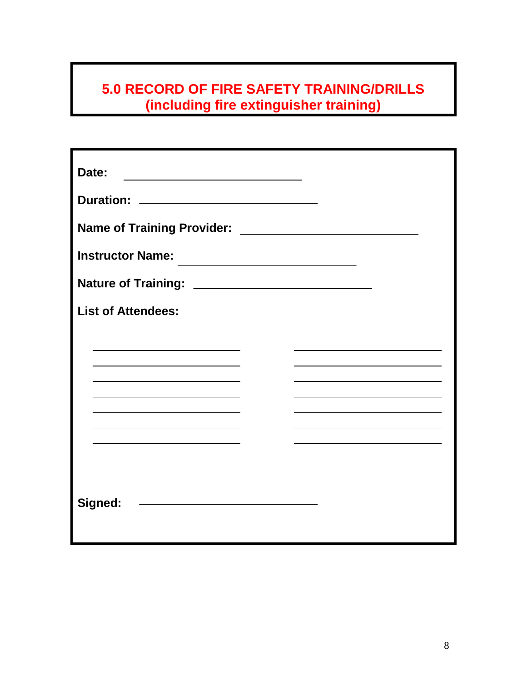| Date:                                                                                                                                     |  |
|-------------------------------------------------------------------------------------------------------------------------------------------|--|
| <b>Duration:</b><br><u> 1989 - Johann Harry Harry Harry Harry Harry Harry Harry Harry Harry Harry Harry Harry Harry Harry Harry Harry</u> |  |
| Name of Training Provider: Name of Training Provider:                                                                                     |  |
| <b>Instructor Name:</b>                                                                                                                   |  |
|                                                                                                                                           |  |
| <b>List of Attendees:</b>                                                                                                                 |  |
|                                                                                                                                           |  |
|                                                                                                                                           |  |
|                                                                                                                                           |  |
|                                                                                                                                           |  |
|                                                                                                                                           |  |
|                                                                                                                                           |  |
| Signed:<br><u> 1989 - Johann Barn, amerikansk politiker (</u>                                                                             |  |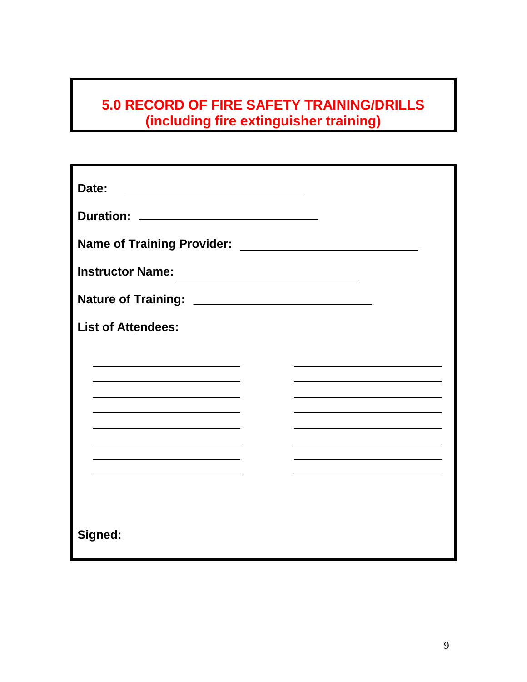| Date:                                                                                                 |
|-------------------------------------------------------------------------------------------------------|
|                                                                                                       |
| <b>Name of Training Provider:</b>                                                                     |
| <b>Instructor Name:</b><br>the control of the control of the control of the control of the control of |
|                                                                                                       |
| <b>List of Attendees:</b>                                                                             |
|                                                                                                       |
|                                                                                                       |
|                                                                                                       |
|                                                                                                       |
|                                                                                                       |
|                                                                                                       |
| Signed:                                                                                               |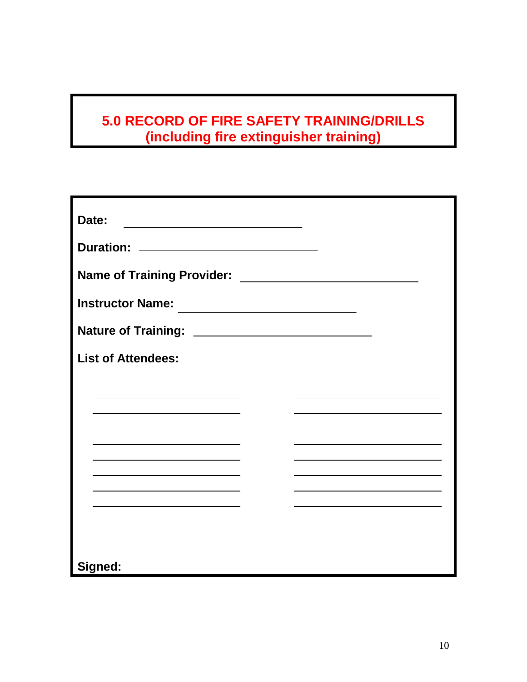| Date:<br><u> 1989 - Johann Barbara, martxa alemaniar a</u> |                                                                                                                       |
|------------------------------------------------------------|-----------------------------------------------------------------------------------------------------------------------|
| Duration: <u>_____________________________</u>             |                                                                                                                       |
| <b>Name of Training Provider:</b>                          | <u> 1980 - Jan Barbara Barbara, maso a popular establecidad e a la propia de la propia de la propia de la propia </u> |
| <b>Instructor Name:</b>                                    |                                                                                                                       |
|                                                            |                                                                                                                       |
| <b>List of Attendees:</b>                                  |                                                                                                                       |
|                                                            |                                                                                                                       |
|                                                            |                                                                                                                       |
|                                                            |                                                                                                                       |
|                                                            |                                                                                                                       |
|                                                            |                                                                                                                       |
|                                                            |                                                                                                                       |
|                                                            |                                                                                                                       |
| Signed:                                                    |                                                                                                                       |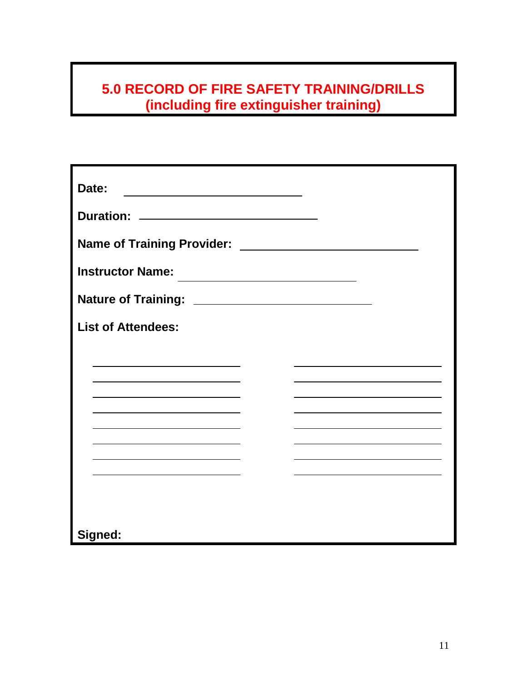| Date:                     |  |
|---------------------------|--|
|                           |  |
|                           |  |
| <b>Instructor Name:</b>   |  |
|                           |  |
| <b>List of Attendees:</b> |  |
|                           |  |
|                           |  |
|                           |  |
|                           |  |
|                           |  |
|                           |  |
|                           |  |
| Signed:                   |  |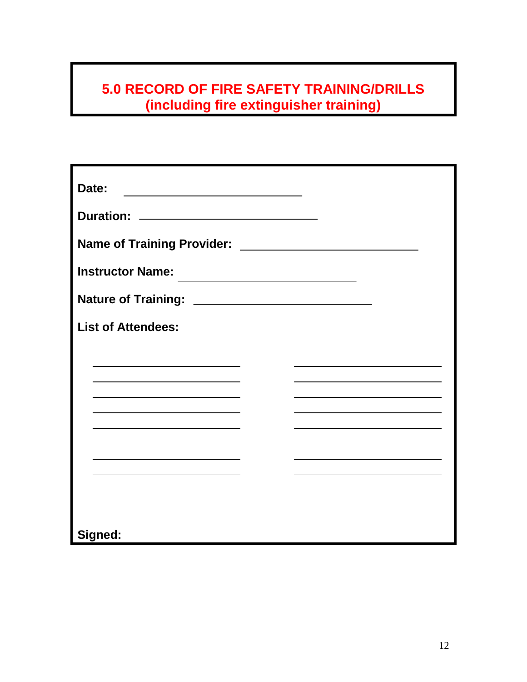| Date:                                         |  |
|-----------------------------------------------|--|
| Duration: <u>____________________________</u> |  |
|                                               |  |
| <b>Instructor Name:</b>                       |  |
|                                               |  |
| <b>List of Attendees:</b>                     |  |
|                                               |  |
|                                               |  |
|                                               |  |
|                                               |  |
|                                               |  |
|                                               |  |
|                                               |  |
| Signed:                                       |  |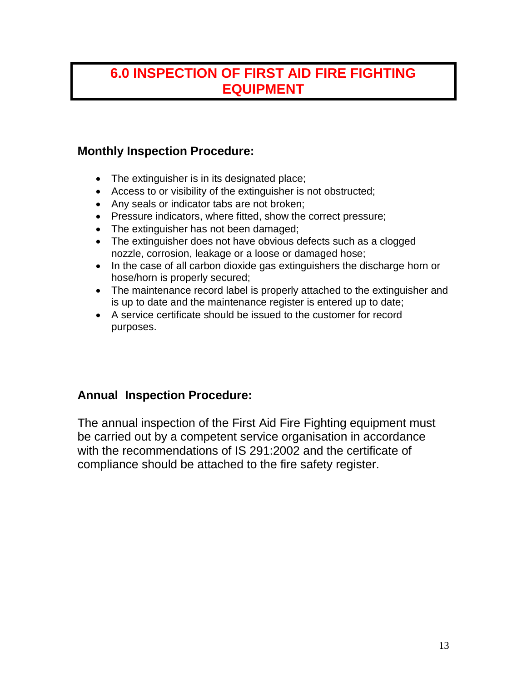### **6.0 INSPECTION OF FIRST AID FIRE FIGHTING EQUIPMENT**

### **Monthly Inspection Procedure:**

- The extinguisher is in its designated place;
- Access to or visibility of the extinguisher is not obstructed;
- Any seals or indicator tabs are not broken;
- Pressure indicators, where fitted, show the correct pressure;
- The extinguisher has not been damaged;
- The extinguisher does not have obvious defects such as a clogged nozzle, corrosion, leakage or a loose or damaged hose;
- In the case of all carbon dioxide gas extinguishers the discharge horn or hose/horn is properly secured;
- The maintenance record label is properly attached to the extinguisher and is up to date and the maintenance register is entered up to date;
- A service certificate should be issued to the customer for record purposes.

### **Annual Inspection Procedure:**

The annual inspection of the First Aid Fire Fighting equipment must be carried out by a competent service organisation in accordance with the recommendations of IS 291:2002 and the certificate of compliance should be attached to the fire safety register.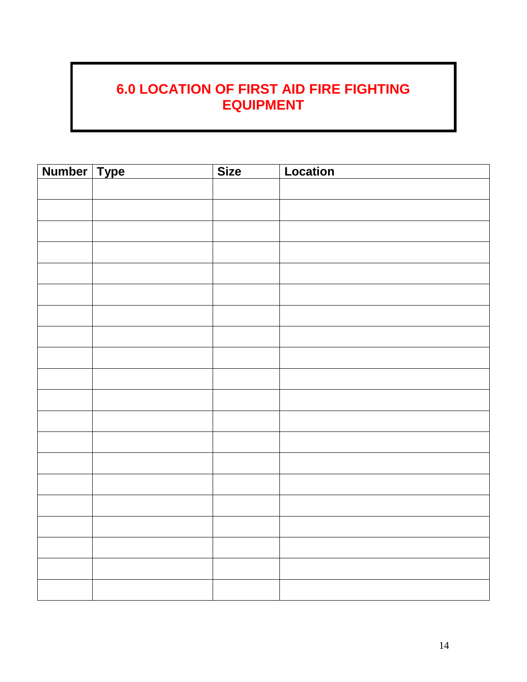# **6.0 LOCATION OF FIRST AID FIRE FIGHTING EQUIPMENT**

| Number Type | <b>Size</b> | Location |
|-------------|-------------|----------|
|             |             |          |
|             |             |          |
|             |             |          |
|             |             |          |
|             |             |          |
|             |             |          |
|             |             |          |
|             |             |          |
|             |             |          |
|             |             |          |
|             |             |          |
|             |             |          |
|             |             |          |
|             |             |          |
|             |             |          |
|             |             |          |
|             |             |          |
|             |             |          |
|             |             |          |
|             |             |          |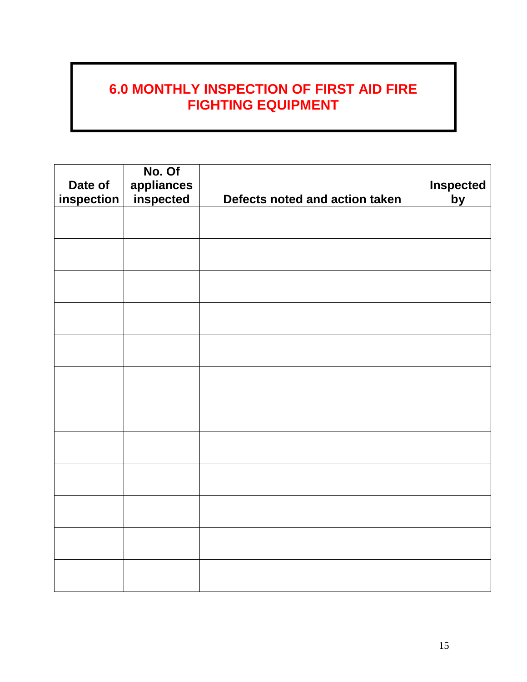### **6.0 MONTHLY INSPECTION OF FIRST AID FIRE FIGHTING EQUIPMENT**

| Date of<br>inspection | No. Of<br>appliances<br>inspected | Defects noted and action taken | <b>Inspected</b><br>by |
|-----------------------|-----------------------------------|--------------------------------|------------------------|
|                       |                                   |                                |                        |
|                       |                                   |                                |                        |
|                       |                                   |                                |                        |
|                       |                                   |                                |                        |
|                       |                                   |                                |                        |
|                       |                                   |                                |                        |
|                       |                                   |                                |                        |
|                       |                                   |                                |                        |
|                       |                                   |                                |                        |
|                       |                                   |                                |                        |
|                       |                                   |                                |                        |
|                       |                                   |                                |                        |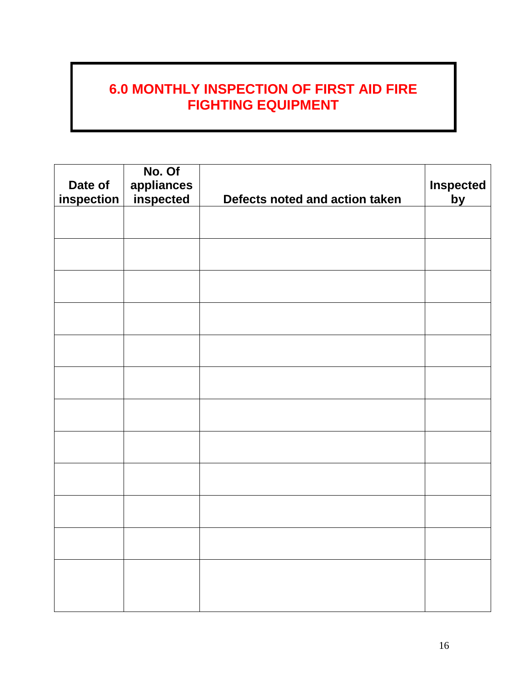### **6.0 MONTHLY INSPECTION OF FIRST AID FIRE FIGHTING EQUIPMENT**

| Date of<br>inspection | No. Of<br>appliances<br>inspected | Defects noted and action taken | <b>Inspected</b><br>by |
|-----------------------|-----------------------------------|--------------------------------|------------------------|
|                       |                                   |                                |                        |
|                       |                                   |                                |                        |
|                       |                                   |                                |                        |
|                       |                                   |                                |                        |
|                       |                                   |                                |                        |
|                       |                                   |                                |                        |
|                       |                                   |                                |                        |
|                       |                                   |                                |                        |
|                       |                                   |                                |                        |
|                       |                                   |                                |                        |
|                       |                                   |                                |                        |
|                       |                                   |                                |                        |
|                       |                                   |                                |                        |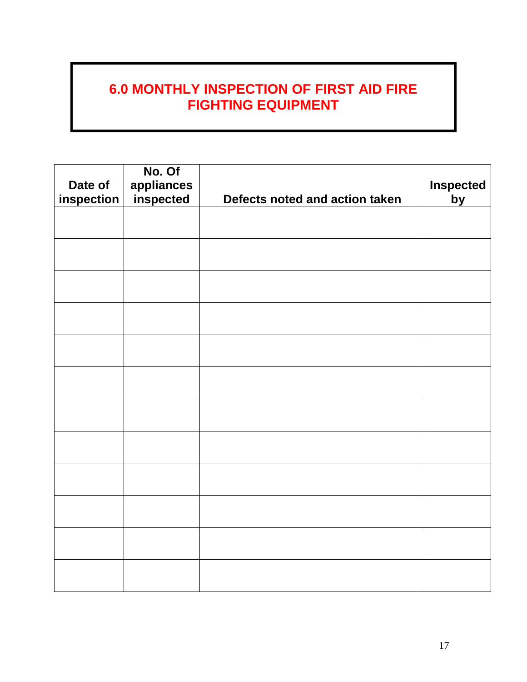### **6.0 MONTHLY INSPECTION OF FIRST AID FIRE FIGHTING EQUIPMENT**

| Date of<br>inspection | No. Of<br>appliances<br>inspected | Defects noted and action taken | <b>Inspected</b><br>by |
|-----------------------|-----------------------------------|--------------------------------|------------------------|
|                       |                                   |                                |                        |
|                       |                                   |                                |                        |
|                       |                                   |                                |                        |
|                       |                                   |                                |                        |
|                       |                                   |                                |                        |
|                       |                                   |                                |                        |
|                       |                                   |                                |                        |
|                       |                                   |                                |                        |
|                       |                                   |                                |                        |
|                       |                                   |                                |                        |
|                       |                                   |                                |                        |
|                       |                                   |                                |                        |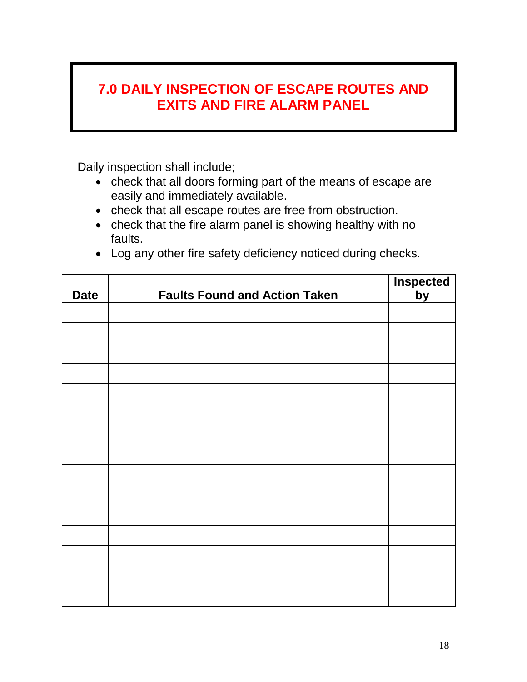### **7.0 DAILY INSPECTION OF ESCAPE ROUTES AND EXITS AND FIRE ALARM PANEL**

Daily inspection shall include;

- check that all doors forming part of the means of escape are easily and immediately available.
- check that all escape routes are free from obstruction.
- check that the fire alarm panel is showing healthy with no faults.
- Log any other fire safety deficiency noticed during checks.

| <b>Date</b> | <b>Faults Found and Action Taken</b> | <b>Inspected</b><br>by |
|-------------|--------------------------------------|------------------------|
|             |                                      |                        |
|             |                                      |                        |
|             |                                      |                        |
|             |                                      |                        |
|             |                                      |                        |
|             |                                      |                        |
|             |                                      |                        |
|             |                                      |                        |
|             |                                      |                        |
|             |                                      |                        |
|             |                                      |                        |
|             |                                      |                        |
|             |                                      |                        |
|             |                                      |                        |
|             |                                      |                        |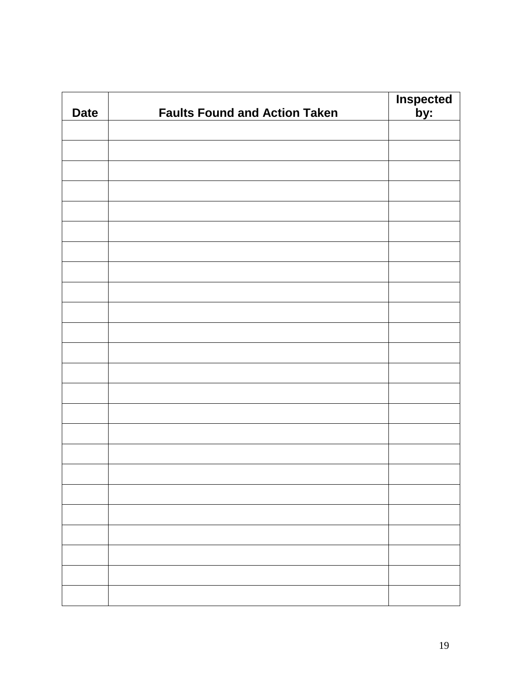| <b>Date</b> | <b>Faults Found and Action Taken</b> | <b>Inspected</b><br>by: |
|-------------|--------------------------------------|-------------------------|
|             |                                      |                         |
|             |                                      |                         |
|             |                                      |                         |
|             |                                      |                         |
|             |                                      |                         |
|             |                                      |                         |
|             |                                      |                         |
|             |                                      |                         |
|             |                                      |                         |
|             |                                      |                         |
|             |                                      |                         |
|             |                                      |                         |
|             |                                      |                         |
|             |                                      |                         |
|             |                                      |                         |
|             |                                      |                         |
|             |                                      |                         |
|             |                                      |                         |
|             |                                      |                         |
|             |                                      |                         |
|             |                                      |                         |
|             |                                      |                         |
|             |                                      |                         |
|             |                                      |                         |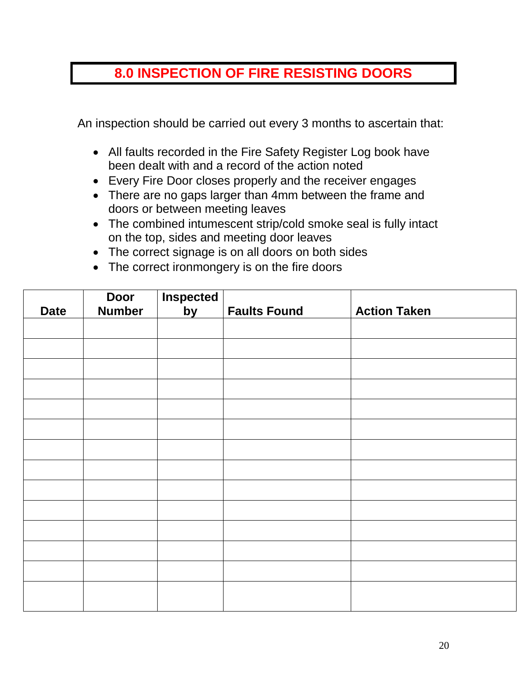### **8.0 INSPECTION OF FIRE RESISTING DOORS**

An inspection should be carried out every 3 months to ascertain that:

- All faults recorded in the Fire Safety Register Log book have been dealt with and a record of the action noted
- Every Fire Door closes properly and the receiver engages
- There are no gaps larger than 4mm between the frame and doors or between meeting leaves
- The combined intumescent strip/cold smoke seal is fully intact on the top, sides and meeting door leaves
- The correct signage is on all doors on both sides
- The correct ironmongery is on the fire doors

| <b>Date</b> | <b>Door</b><br><b>Number</b> | <b>Inspected</b><br>by | <b>Faults Found</b> | <b>Action Taken</b> |
|-------------|------------------------------|------------------------|---------------------|---------------------|
|             |                              |                        |                     |                     |
|             |                              |                        |                     |                     |
|             |                              |                        |                     |                     |
|             |                              |                        |                     |                     |
|             |                              |                        |                     |                     |
|             |                              |                        |                     |                     |
|             |                              |                        |                     |                     |
|             |                              |                        |                     |                     |
|             |                              |                        |                     |                     |
|             |                              |                        |                     |                     |
|             |                              |                        |                     |                     |
|             |                              |                        |                     |                     |
|             |                              |                        |                     |                     |
|             |                              |                        |                     |                     |
|             |                              |                        |                     |                     |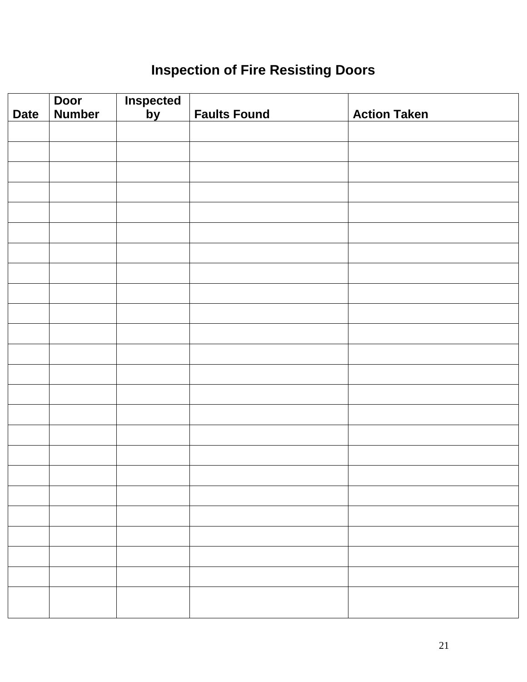# **Inspection of Fire Resisting Doors**

|             | <b>Door</b>   | <b>Inspected</b> |                                                                                                                                                                              |                     |
|-------------|---------------|------------------|------------------------------------------------------------------------------------------------------------------------------------------------------------------------------|---------------------|
| <b>Date</b> | <b>Number</b> | <u>by</u>        | <b>Faults Found</b>                                                                                                                                                          | <b>Action Taken</b> |
|             |               |                  |                                                                                                                                                                              |                     |
|             |               |                  |                                                                                                                                                                              |                     |
|             |               |                  |                                                                                                                                                                              |                     |
|             |               |                  |                                                                                                                                                                              |                     |
|             |               |                  |                                                                                                                                                                              |                     |
|             |               |                  |                                                                                                                                                                              |                     |
|             |               |                  |                                                                                                                                                                              |                     |
|             |               |                  |                                                                                                                                                                              |                     |
|             |               |                  |                                                                                                                                                                              |                     |
|             |               |                  |                                                                                                                                                                              |                     |
|             |               |                  |                                                                                                                                                                              |                     |
|             |               |                  |                                                                                                                                                                              |                     |
|             |               |                  |                                                                                                                                                                              |                     |
|             |               |                  |                                                                                                                                                                              |                     |
|             |               |                  |                                                                                                                                                                              |                     |
|             |               |                  |                                                                                                                                                                              |                     |
|             |               |                  |                                                                                                                                                                              |                     |
|             |               |                  |                                                                                                                                                                              |                     |
|             |               |                  |                                                                                                                                                                              |                     |
|             |               |                  |                                                                                                                                                                              |                     |
|             |               |                  |                                                                                                                                                                              |                     |
|             |               |                  |                                                                                                                                                                              |                     |
|             |               |                  |                                                                                                                                                                              |                     |
|             |               |                  |                                                                                                                                                                              |                     |
|             |               |                  | <u> 1989 - John Stone, Amerikaansk politiker (* 1989)</u><br>the contract of the contract of the contract of the contract of the contract of the contract of the contract of |                     |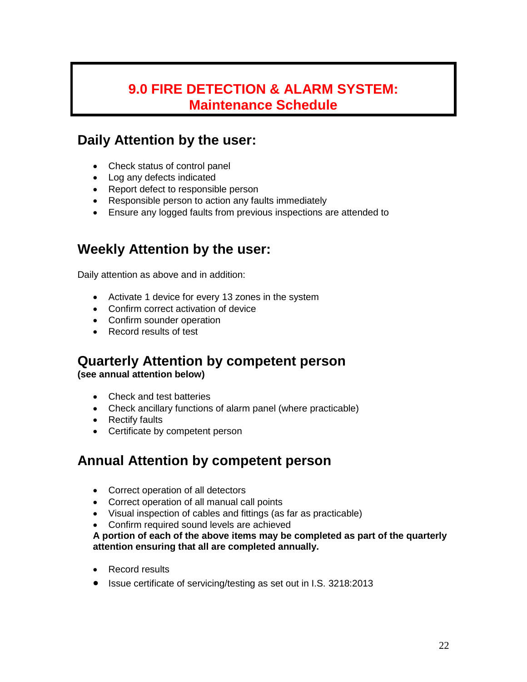### **9.0 FIRE DETECTION & ALARM SYSTEM: Maintenance Schedule**

### **Daily Attention by the user:**

- Check status of control panel
- Log any defects indicated
- Report defect to responsible person
- Responsible person to action any faults immediately
- Ensure any logged faults from previous inspections are attended to

### **Weekly Attention by the user:**

Daily attention as above and in addition:

- Activate 1 device for every 13 zones in the system
- Confirm correct activation of device
- Confirm sounder operation
- Record results of test

# **Quarterly Attention by competent person**

**(see annual attention below)**

- Check and test batteries
- Check ancillary functions of alarm panel (where practicable)
- Rectify faults
- Certificate by competent person

### **Annual Attention by competent person**

- Correct operation of all detectors
- Correct operation of all manual call points
- Visual inspection of cables and fittings (as far as practicable)
- Confirm required sound levels are achieved

**A portion of each of the above items may be completed as part of the quarterly attention ensuring that all are completed annually.**

- Record results
- Issue certificate of servicing/testing as set out in I.S. 3218:2013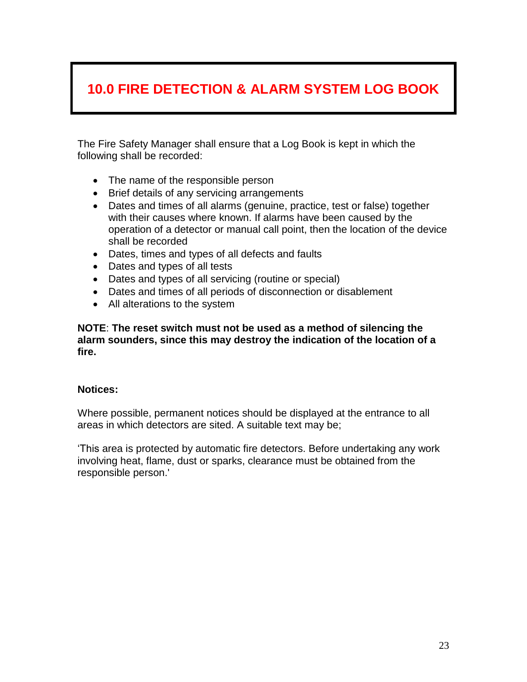# **10.0 FIRE DETECTION & ALARM SYSTEM LOG BOOK**

The Fire Safety Manager shall ensure that a Log Book is kept in which the following shall be recorded:

- The name of the responsible person
- Brief details of any servicing arrangements
- Dates and times of all alarms (genuine, practice, test or false) together with their causes where known. If alarms have been caused by the operation of a detector or manual call point, then the location of the device shall be recorded
- Dates, times and types of all defects and faults
- Dates and types of all tests
- Dates and types of all servicing (routine or special)
- Dates and times of all periods of disconnection or disablement
- All alterations to the system

**NOTE**: **The reset switch must not be used as a method of silencing the alarm sounders, since this may destroy the indication of the location of a fire.**

#### **Notices:**

Where possible, permanent notices should be displayed at the entrance to all areas in which detectors are sited. A suitable text may be;

'This area is protected by automatic fire detectors. Before undertaking any work involving heat, flame, dust or sparks, clearance must be obtained from the responsible person.'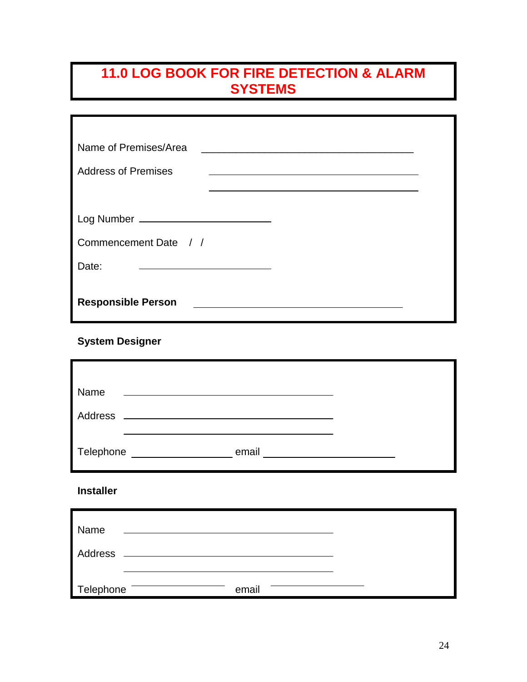# **11.0 LOG BOOK FOR FIRE DETECTION & ALARM SYSTEMS**

| Name of Premises/Area                                      |  |
|------------------------------------------------------------|--|
| <b>Address of Premises</b>                                 |  |
|                                                            |  |
| Log Number ____________________________                    |  |
| Commencement Date / /                                      |  |
| Date:<br><u> 1989 - Johann Barbara, martxa alemaniar a</u> |  |
| <b>Responsible Person</b>                                  |  |

**System Designer**

| Name      | <u> 1989 - Johann John Stein, fransk politik (f. 1989)</u> |  |
|-----------|------------------------------------------------------------|--|
|           |                                                            |  |
| Telephone | email<br><u> 1980 - Jan Barat, prima politik (</u>         |  |

**Installer** 

| Name      |       |  |
|-----------|-------|--|
| Address   |       |  |
| Telephone | email |  |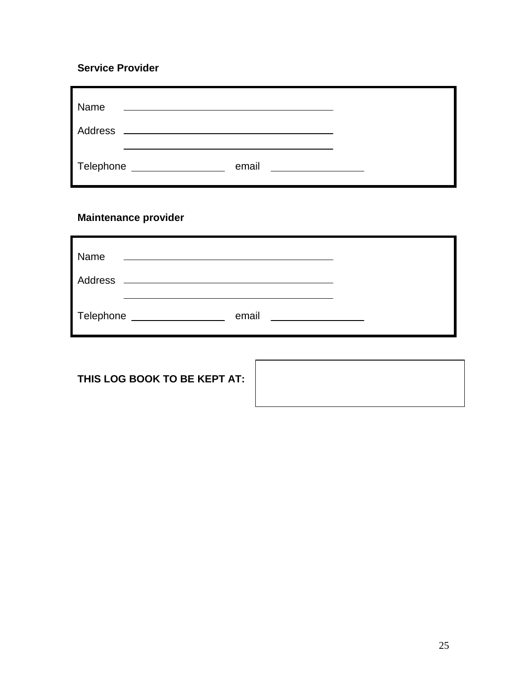#### **Service Provider**

| Name      | the control of the control of the control of the control of the control of the control of |                                                  |  |
|-----------|-------------------------------------------------------------------------------------------|--------------------------------------------------|--|
| Address   |                                                                                           |                                                  |  |
| Telephone | email                                                                                     | <u> 1990 - Jan Barbara Barbara, prima popula</u> |  |

### **Maintenance provider**

| Name<br>Address | <u> 1980 - Johann Stoff, amerikansk politiker (* 1900)</u> |       |  |
|-----------------|------------------------------------------------------------|-------|--|
| Telephone       |                                                            | email |  |

**THIS LOG BOOK TO BE KEPT AT:**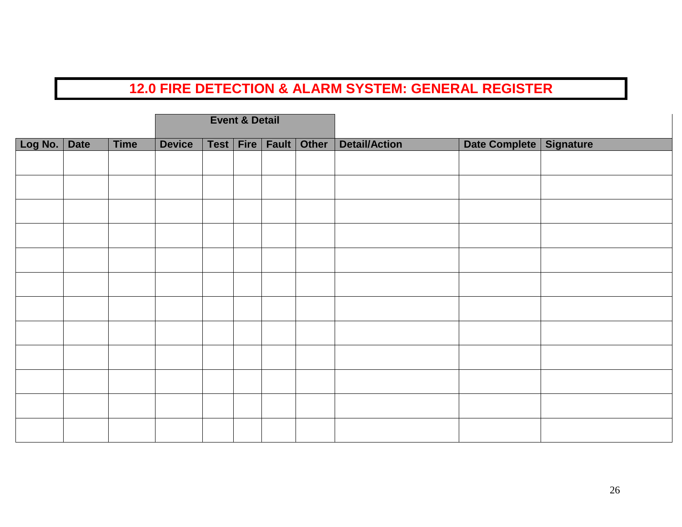|         |             |             |               | <b>Event &amp; Detail</b> |               |       |                      |                           |  |
|---------|-------------|-------------|---------------|---------------------------|---------------|-------|----------------------|---------------------------|--|
| Log No. | <b>Date</b> | <b>Time</b> | <b>Device</b> | Test   Fire               | Fault $\vert$ | Other | <b>Detail/Action</b> | Date Complete   Signature |  |
|         |             |             |               |                           |               |       |                      |                           |  |
|         |             |             |               |                           |               |       |                      |                           |  |
|         |             |             |               |                           |               |       |                      |                           |  |
|         |             |             |               |                           |               |       |                      |                           |  |
|         |             |             |               |                           |               |       |                      |                           |  |
|         |             |             |               |                           |               |       |                      |                           |  |
|         |             |             |               |                           |               |       |                      |                           |  |
|         |             |             |               |                           |               |       |                      |                           |  |
|         |             |             |               |                           |               |       |                      |                           |  |
|         |             |             |               |                           |               |       |                      |                           |  |
|         |             |             |               |                           |               |       |                      |                           |  |
|         |             |             |               |                           |               |       |                      |                           |  |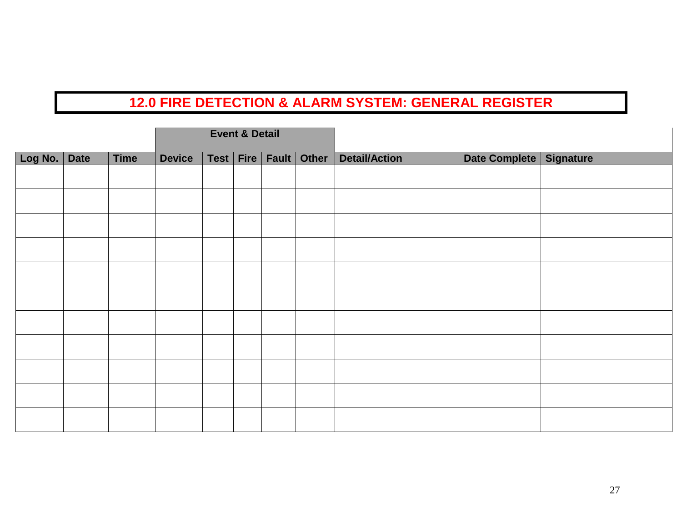|         |             |             |               | <b>Event &amp; Detail</b> |                     |       |                      |                           |  |
|---------|-------------|-------------|---------------|---------------------------|---------------------|-------|----------------------|---------------------------|--|
| Log No. | <b>Date</b> | <b>Time</b> | <b>Device</b> |                           | Test   Fire   Fault | Other | <b>Detail/Action</b> | Date Complete   Signature |  |
|         |             |             |               |                           |                     |       |                      |                           |  |
|         |             |             |               |                           |                     |       |                      |                           |  |
|         |             |             |               |                           |                     |       |                      |                           |  |
|         |             |             |               |                           |                     |       |                      |                           |  |
|         |             |             |               |                           |                     |       |                      |                           |  |
|         |             |             |               |                           |                     |       |                      |                           |  |
|         |             |             |               |                           |                     |       |                      |                           |  |
|         |             |             |               |                           |                     |       |                      |                           |  |
|         |             |             |               |                           |                     |       |                      |                           |  |
|         |             |             |               |                           |                     |       |                      |                           |  |
|         |             |             |               |                           |                     |       |                      |                           |  |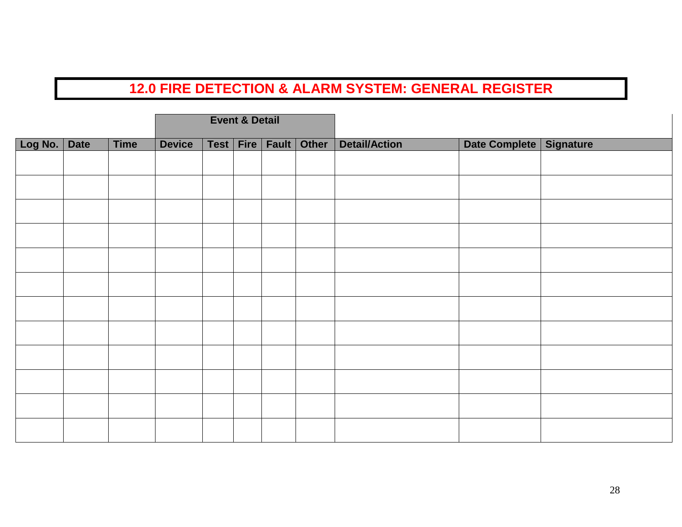|         |             |             |               | <b>Event &amp; Detail</b> |       |       |                      |                           |  |
|---------|-------------|-------------|---------------|---------------------------|-------|-------|----------------------|---------------------------|--|
| Log No. | <b>Date</b> | <b>Time</b> | <b>Device</b> | Test   Fire               | Fault | Other | <b>Detail/Action</b> | Date Complete   Signature |  |
|         |             |             |               |                           |       |       |                      |                           |  |
|         |             |             |               |                           |       |       |                      |                           |  |
|         |             |             |               |                           |       |       |                      |                           |  |
|         |             |             |               |                           |       |       |                      |                           |  |
|         |             |             |               |                           |       |       |                      |                           |  |
|         |             |             |               |                           |       |       |                      |                           |  |
|         |             |             |               |                           |       |       |                      |                           |  |
|         |             |             |               |                           |       |       |                      |                           |  |
|         |             |             |               |                           |       |       |                      |                           |  |
|         |             |             |               |                           |       |       |                      |                           |  |
|         |             |             |               |                           |       |       |                      |                           |  |
|         |             |             |               |                           |       |       |                      |                           |  |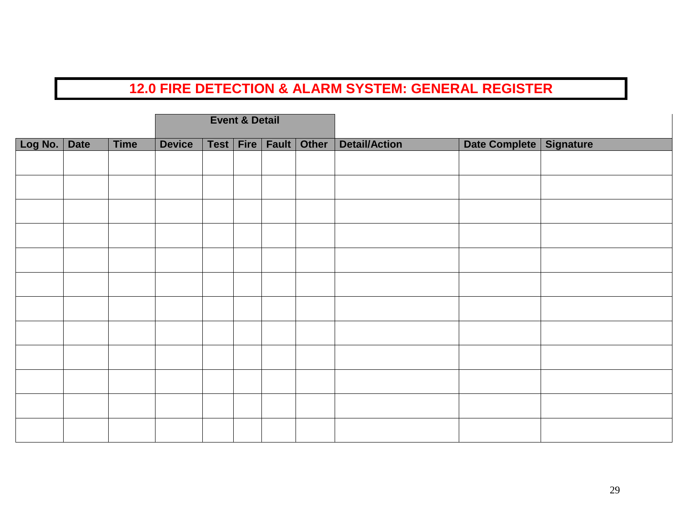|         |             |             |               | <b>Event &amp; Detail</b> |                             |                      |                           |  |
|---------|-------------|-------------|---------------|---------------------------|-----------------------------|----------------------|---------------------------|--|
| Log No. | <b>Date</b> | <b>Time</b> | <b>Device</b> |                           | Test   Fire   Fault   Other | <b>Detail/Action</b> | Date Complete   Signature |  |
|         |             |             |               |                           |                             |                      |                           |  |
|         |             |             |               |                           |                             |                      |                           |  |
|         |             |             |               |                           |                             |                      |                           |  |
|         |             |             |               |                           |                             |                      |                           |  |
|         |             |             |               |                           |                             |                      |                           |  |
|         |             |             |               |                           |                             |                      |                           |  |
|         |             |             |               |                           |                             |                      |                           |  |
|         |             |             |               |                           |                             |                      |                           |  |
|         |             |             |               |                           |                             |                      |                           |  |
|         |             |             |               |                           |                             |                      |                           |  |
|         |             |             |               |                           |                             |                      |                           |  |
|         |             |             |               |                           |                             |                      |                           |  |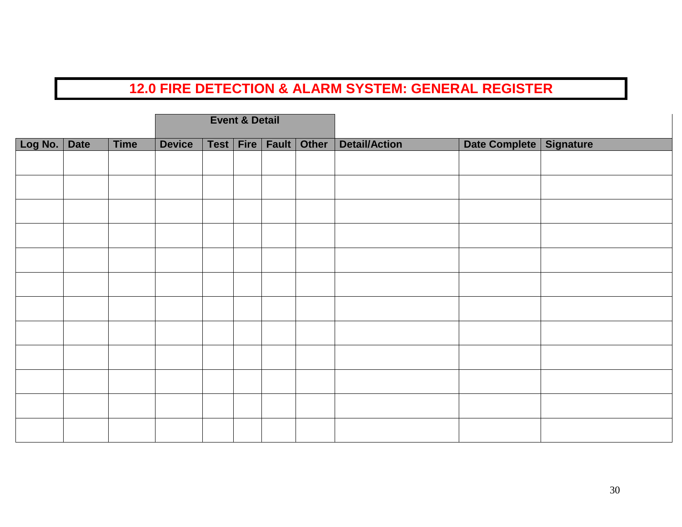|         |             |             |               | <b>Event &amp; Detail</b> |       |       |                      |                           |  |
|---------|-------------|-------------|---------------|---------------------------|-------|-------|----------------------|---------------------------|--|
| Log No. | <b>Date</b> | <b>Time</b> | <b>Device</b> | Test   Fire               | Fault | Other | <b>Detail/Action</b> | Date Complete   Signature |  |
|         |             |             |               |                           |       |       |                      |                           |  |
|         |             |             |               |                           |       |       |                      |                           |  |
|         |             |             |               |                           |       |       |                      |                           |  |
|         |             |             |               |                           |       |       |                      |                           |  |
|         |             |             |               |                           |       |       |                      |                           |  |
|         |             |             |               |                           |       |       |                      |                           |  |
|         |             |             |               |                           |       |       |                      |                           |  |
|         |             |             |               |                           |       |       |                      |                           |  |
|         |             |             |               |                           |       |       |                      |                           |  |
|         |             |             |               |                           |       |       |                      |                           |  |
|         |             |             |               |                           |       |       |                      |                           |  |
|         |             |             |               |                           |       |       |                      |                           |  |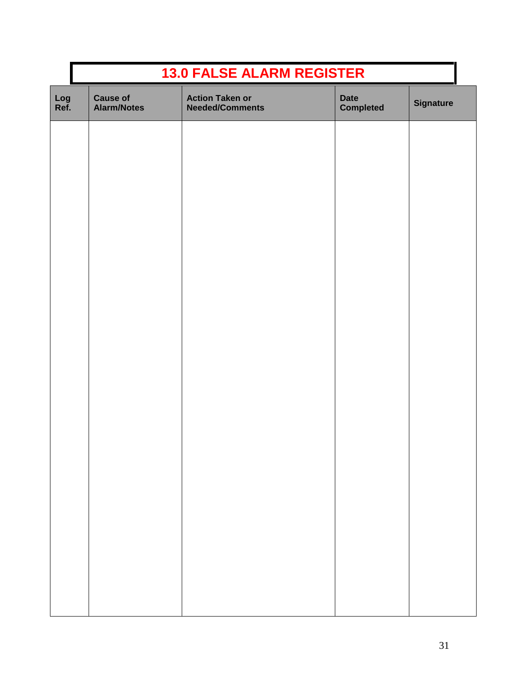|             | <b>13.0 FALSE ALARM REGISTER</b>      |                                                  |                                 |                  |  |  |  |  |  |
|-------------|---------------------------------------|--------------------------------------------------|---------------------------------|------------------|--|--|--|--|--|
| Log<br>Ref. | <b>Cause of</b><br><b>Alarm/Notes</b> | <b>Action Taken or</b><br><b>Needed/Comments</b> | <b>Date</b><br><b>Completed</b> | <b>Signature</b> |  |  |  |  |  |
|             |                                       |                                                  |                                 |                  |  |  |  |  |  |
|             |                                       |                                                  |                                 |                  |  |  |  |  |  |
|             |                                       |                                                  |                                 |                  |  |  |  |  |  |
|             |                                       |                                                  |                                 |                  |  |  |  |  |  |
|             |                                       |                                                  |                                 |                  |  |  |  |  |  |
|             |                                       |                                                  |                                 |                  |  |  |  |  |  |
|             |                                       |                                                  |                                 |                  |  |  |  |  |  |
|             |                                       |                                                  |                                 |                  |  |  |  |  |  |
|             |                                       |                                                  |                                 |                  |  |  |  |  |  |
|             |                                       |                                                  |                                 |                  |  |  |  |  |  |
|             |                                       |                                                  |                                 |                  |  |  |  |  |  |
|             |                                       |                                                  |                                 |                  |  |  |  |  |  |
|             |                                       |                                                  |                                 |                  |  |  |  |  |  |
|             |                                       |                                                  |                                 |                  |  |  |  |  |  |
|             |                                       |                                                  |                                 |                  |  |  |  |  |  |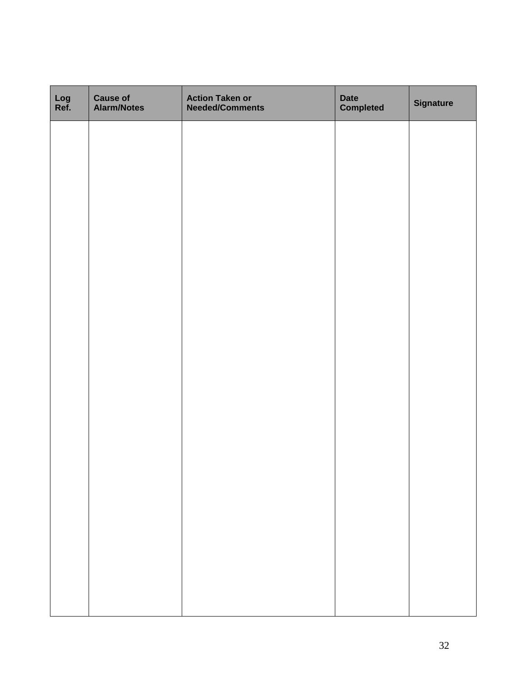| Log<br>Ref. | <b>Cause of<br/>Alarm/Notes</b> | <b>Action Taken or<br/>Needed/Comments</b> | <b>Date</b><br><b>Completed</b> | <b>Signature</b> |
|-------------|---------------------------------|--------------------------------------------|---------------------------------|------------------|
|             |                                 |                                            |                                 |                  |
|             |                                 |                                            |                                 |                  |
|             |                                 |                                            |                                 |                  |
|             |                                 |                                            |                                 |                  |
|             |                                 |                                            |                                 |                  |
|             |                                 |                                            |                                 |                  |
|             |                                 |                                            |                                 |                  |
|             |                                 |                                            |                                 |                  |
|             |                                 |                                            |                                 |                  |
|             |                                 |                                            |                                 |                  |
|             |                                 |                                            |                                 |                  |
|             |                                 |                                            |                                 |                  |
|             |                                 |                                            |                                 |                  |
|             |                                 |                                            |                                 |                  |
|             |                                 |                                            |                                 |                  |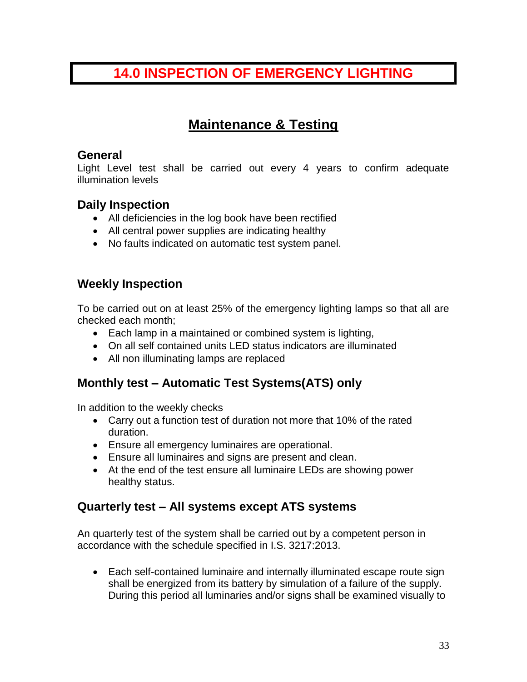### **14.0 INSPECTION OF EMERGENCY LIGHTING**

### **Maintenance & Testing**

#### **General**

Light Level test shall be carried out every 4 years to confirm adequate illumination levels

### **Daily Inspection**

- All deficiencies in the log book have been rectified
- All central power supplies are indicating healthy
- No faults indicated on automatic test system panel.

### **Weekly Inspection**

To be carried out on at least 25% of the emergency lighting lamps so that all are checked each month;

- Each lamp in a maintained or combined system is lighting,
- On all self contained units LED status indicators are illuminated
- All non illuminating lamps are replaced

### **Monthly test – Automatic Test Systems(ATS) only**

In addition to the weekly checks

- Carry out a function test of duration not more that 10% of the rated duration.
- Ensure all emergency luminaires are operational.
- Ensure all luminaires and signs are present and clean.
- At the end of the test ensure all luminaire LEDs are showing power healthy status.

### **Quarterly test – All systems except ATS systems**

An quarterly test of the system shall be carried out by a competent person in accordance with the schedule specified in I.S. 3217:2013.

 Each self-contained luminaire and internally illuminated escape route sign shall be energized from its battery by simulation of a failure of the supply. During this period all luminaries and/or signs shall be examined visually to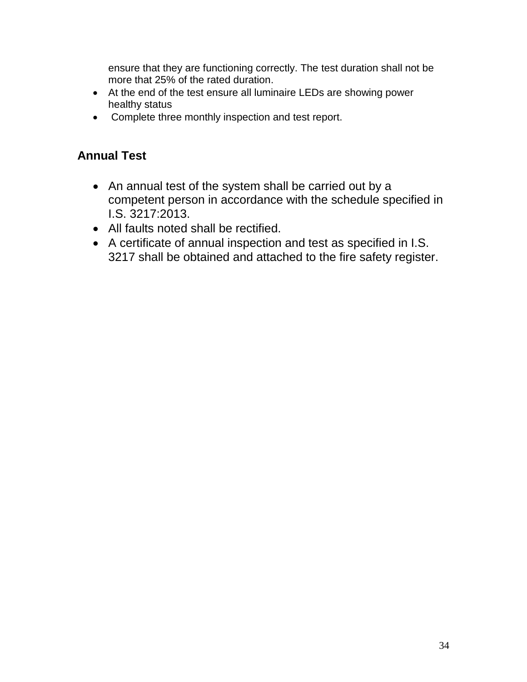ensure that they are functioning correctly. The test duration shall not be more that 25% of the rated duration.

- At the end of the test ensure all luminaire LEDs are showing power healthy status
- Complete three monthly inspection and test report.

### **Annual Test**

- An annual test of the system shall be carried out by a competent person in accordance with the schedule specified in I.S. 3217:2013.
- All faults noted shall be rectified.
- A certificate of annual inspection and test as specified in I.S. 3217 shall be obtained and attached to the fire safety register.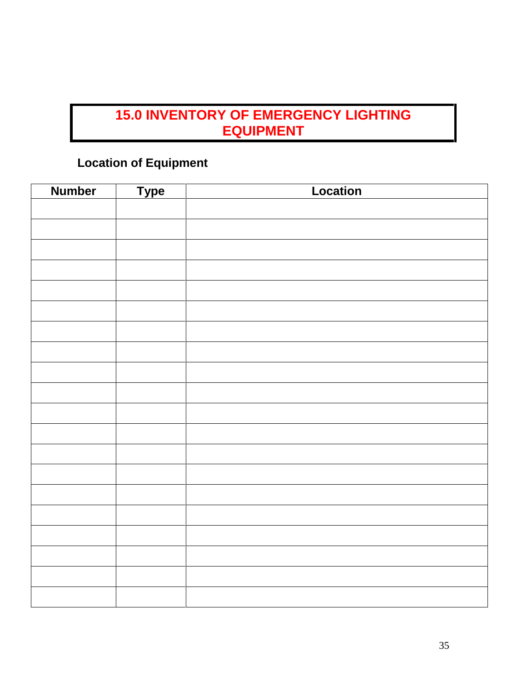# **15.0 INVENTORY OF EMERGENCY LIGHTING EQUIPMENT**

### **Location of Equipment**

| <b>Number</b> | <b>Type</b> | Location |
|---------------|-------------|----------|
|               |             |          |
|               |             |          |
|               |             |          |
|               |             |          |
|               |             |          |
|               |             |          |
|               |             |          |
|               |             |          |
|               |             |          |
|               |             |          |
|               |             |          |
|               |             |          |
|               |             |          |
|               |             |          |
|               |             |          |
|               |             |          |
|               |             |          |
|               |             |          |
|               |             |          |
|               |             |          |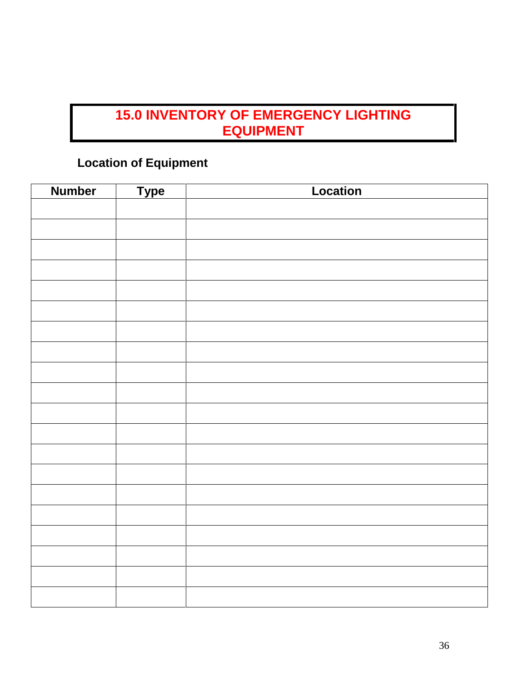# **15.0 INVENTORY OF EMERGENCY LIGHTING EQUIPMENT**

### **Location of Equipment**

| <b>Number</b> | <b>Type</b> | Location |
|---------------|-------------|----------|
|               |             |          |
|               |             |          |
|               |             |          |
|               |             |          |
|               |             |          |
|               |             |          |
|               |             |          |
|               |             |          |
|               |             |          |
|               |             |          |
|               |             |          |
|               |             |          |
|               |             |          |
|               |             |          |
|               |             |          |
|               |             |          |
|               |             |          |
|               |             |          |
|               |             |          |
|               |             |          |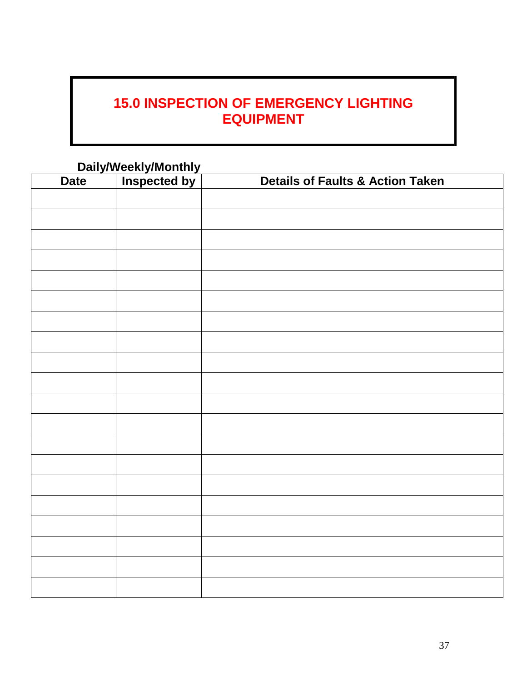# **15.0 INSPECTION OF EMERGENCY LIGHTING EQUIPMENT**

|             | Daily/Weekly/Monthly<br>te   Inspected by |                                             |  |
|-------------|-------------------------------------------|---------------------------------------------|--|
| <b>Date</b> |                                           | <b>Details of Faults &amp; Action Taken</b> |  |
|             |                                           |                                             |  |
|             |                                           |                                             |  |
|             |                                           |                                             |  |
|             |                                           |                                             |  |
|             |                                           |                                             |  |
|             |                                           |                                             |  |
|             |                                           |                                             |  |
|             |                                           |                                             |  |
|             |                                           |                                             |  |
|             |                                           |                                             |  |
|             |                                           |                                             |  |
|             |                                           |                                             |  |
|             |                                           |                                             |  |
|             |                                           |                                             |  |
|             |                                           |                                             |  |
|             |                                           |                                             |  |
|             |                                           |                                             |  |
|             |                                           |                                             |  |
|             |                                           |                                             |  |
|             |                                           |                                             |  |
|             |                                           |                                             |  |
|             |                                           |                                             |  |
|             |                                           |                                             |  |
|             |                                           |                                             |  |
|             |                                           |                                             |  |
|             |                                           |                                             |  |
|             |                                           |                                             |  |
|             |                                           |                                             |  |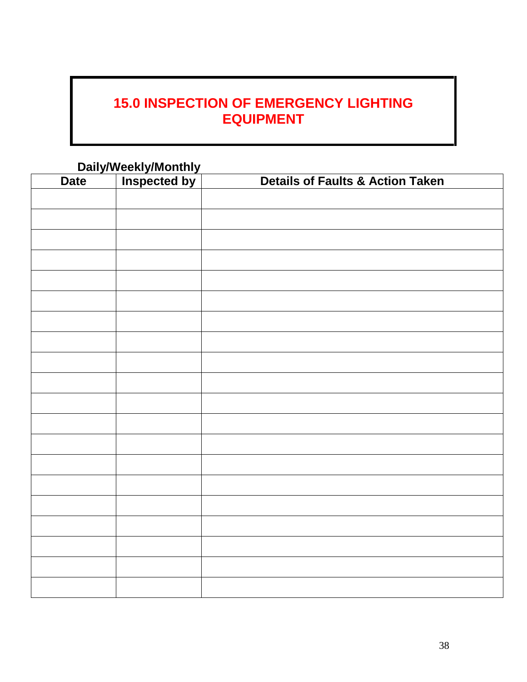# **15.0 INSPECTION OF EMERGENCY LIGHTING EQUIPMENT**

|             | Daily/Weekly/Monthly<br>te   Inspected by |                                             |  |
|-------------|-------------------------------------------|---------------------------------------------|--|
| <b>Date</b> |                                           | <b>Details of Faults &amp; Action Taken</b> |  |
|             |                                           |                                             |  |
|             |                                           |                                             |  |
|             |                                           |                                             |  |
|             |                                           |                                             |  |
|             |                                           |                                             |  |
|             |                                           |                                             |  |
|             |                                           |                                             |  |
|             |                                           |                                             |  |
|             |                                           |                                             |  |
|             |                                           |                                             |  |
|             |                                           |                                             |  |
|             |                                           |                                             |  |
|             |                                           |                                             |  |
|             |                                           |                                             |  |
|             |                                           |                                             |  |
|             |                                           |                                             |  |
|             |                                           |                                             |  |
|             |                                           |                                             |  |
|             |                                           |                                             |  |
|             |                                           |                                             |  |
|             |                                           |                                             |  |
|             |                                           |                                             |  |
|             |                                           |                                             |  |
|             |                                           |                                             |  |
|             |                                           |                                             |  |
|             |                                           |                                             |  |
|             |                                           |                                             |  |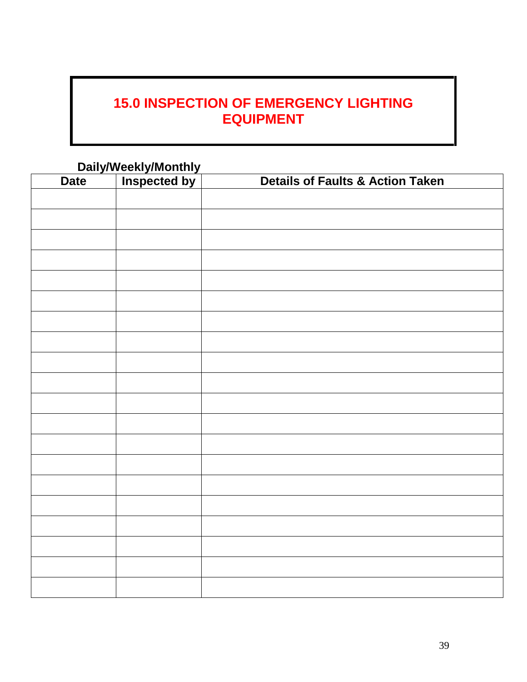# **15.0 INSPECTION OF EMERGENCY LIGHTING EQUIPMENT**

| Daily/Weekly/Monthly<br>te   Inspected by |  |                                             |
|-------------------------------------------|--|---------------------------------------------|
| <b>Date</b>                               |  | <b>Details of Faults &amp; Action Taken</b> |
|                                           |  |                                             |
|                                           |  |                                             |
|                                           |  |                                             |
|                                           |  |                                             |
|                                           |  |                                             |
|                                           |  |                                             |
|                                           |  |                                             |
|                                           |  |                                             |
|                                           |  |                                             |
|                                           |  |                                             |
|                                           |  |                                             |
|                                           |  |                                             |
|                                           |  |                                             |
|                                           |  |                                             |
|                                           |  |                                             |
|                                           |  |                                             |
|                                           |  |                                             |
|                                           |  |                                             |
|                                           |  |                                             |
|                                           |  |                                             |
|                                           |  |                                             |
|                                           |  |                                             |
|                                           |  |                                             |
|                                           |  |                                             |
|                                           |  |                                             |
|                                           |  |                                             |
|                                           |  |                                             |
|                                           |  |                                             |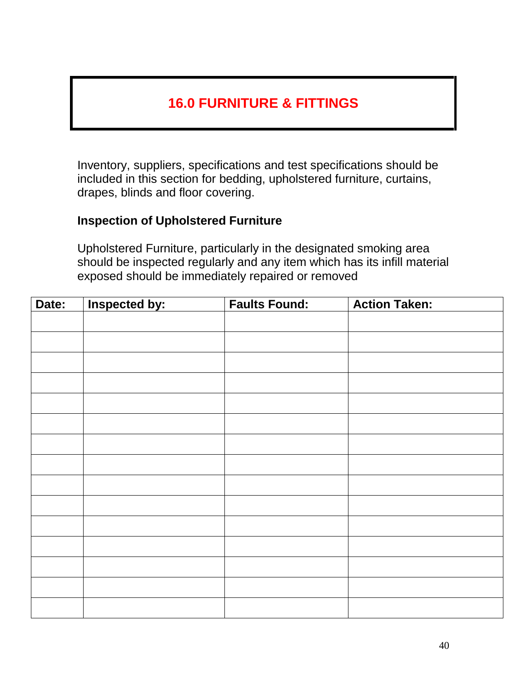# **16.0 FURNITURE & FITTINGS**

Inventory, suppliers, specifications and test specifications should be included in this section for bedding, upholstered furniture, curtains, drapes, blinds and floor covering.

### **Inspection of Upholstered Furniture**

Upholstered Furniture, particularly in the designated smoking area should be inspected regularly and any item which has its infill material exposed should be immediately repaired or removed

| Date: | Inspected by: | <b>Faults Found:</b> | <b>Action Taken:</b> |
|-------|---------------|----------------------|----------------------|
|       |               |                      |                      |
|       |               |                      |                      |
|       |               |                      |                      |
|       |               |                      |                      |
|       |               |                      |                      |
|       |               |                      |                      |
|       |               |                      |                      |
|       |               |                      |                      |
|       |               |                      |                      |
|       |               |                      |                      |
|       |               |                      |                      |
|       |               |                      |                      |
|       |               |                      |                      |
|       |               |                      |                      |
|       |               |                      |                      |